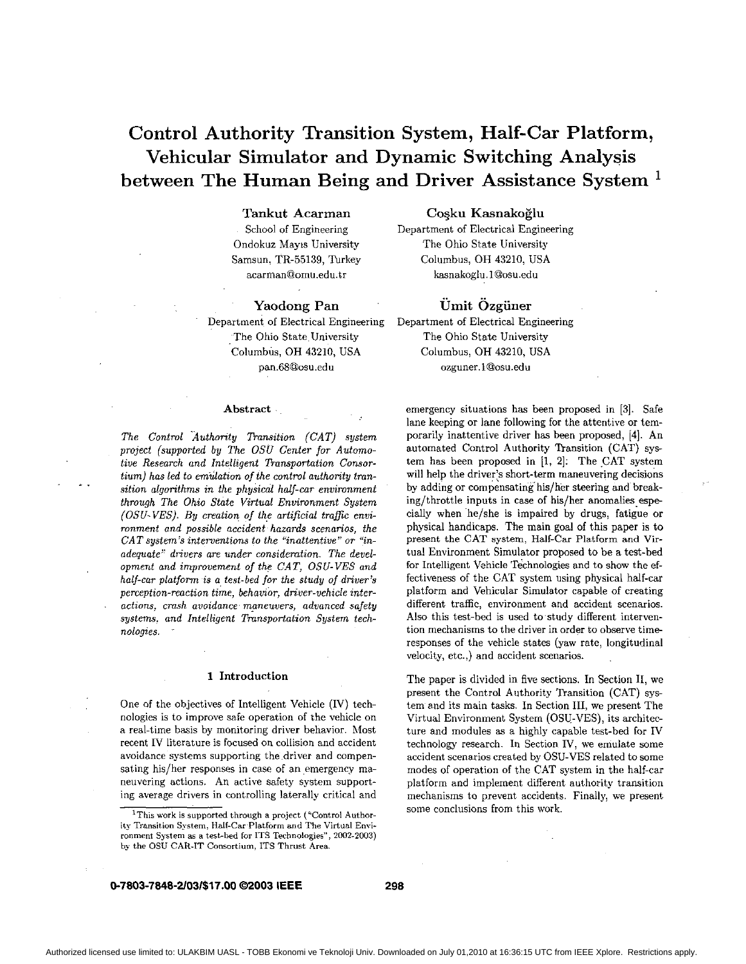# **Control Authority Transition System, Half-Car Platform, Vehicular Simulator and Dynamic Switching Analysis between The Human Being and Driver Assistance System**

**Tankut Acarman**  School of Engineering Ondokuz Mayis University Samsun, TR-55139, Turkey acarman@omu.edu.tr

#### **Yaodong Pan**

Department of Electrical Engineering The Ohio State.University Columbus, OH 43210, USA [pan.68Qosu.edu](http://pan.68Qosu.edu)

#### **Abstract**

The Control Authority Transition (CAT) system project (supported by The *OSU* Center for Automotive Research and Intelligent Transportation Consortium) has led to emiilation of the control authority transition algorithms in the physical half-car environment through The Ohio State Virtual Environment System (OSU-VES). By creation of the artificial traffic environment and possible accident hazards scenarios, the CAT system's interventions to the "inattentive" *or* "inadequate" drivers are under consideration. The development and improvement of the CAT, *OSU-VES* and half-car platform is a test-bed for the study of driver's perception-reaction time, behavior, driver-vehicle interactions, crash avoidance. maneuvers, advanced safety system, and Intelligent Transportation System technologies.

\*.

#### **1 Introduction**

One of the objectives of Intelligent Vehicle (IV) technologies is to improve safe operation of the vehicle on a real-time basis by monitoring driver behavior. Most recent **IV** literature is focused on collision and accident avoidance systems supporting the driver and compensating his/her responses in case of an emergency maneuvering actions. An active safety system supporting average drivers in controlling laterally critical and **CoSku Kasnakoglu** 

Department of Electrical Engineering The Ohio State University Columbus, OH 43210, USA kasnakoglu. [l@osu.edu](mailto:l@osu.edu)

# **Umit Ozgüner**

Department of Electrical Engineering The Ohio State University Columbus, OH 43210, USA [ozguner.lQosu.edu](http://ozguner.lQosu.edu) 

emergency situations has been proposed in **[3].** Safe lane keeping **or** lane following for the attentive or temporarily inattentive driver has been proposed, [4]. An automated Control Authority Transition (CAT) system has been proposed in [l, **21:** The CAT system will help the driver's short-term maneuvering decisions by adding or compensating his/her steering and breaking/throttle inputs in case of his/her anomalies especially when he/she is impaired by drugs, fatigue or physical handicaps. The main goal of this paper is to present the **CAT** system, Half-Car Platform and Virtual Environment Simulator proposed to be a test-bed for Intelligent Vehicle Technologies and to show the effectiveness of the CAT system using physical half-car platform and Vehicular Simulator capable of creating different traffic, environment and accident scenarios. **Also** this test-bed is used to-study different intervention mechanisms to the driver in order to observe timeresponses of the vehicle states (yaw rate, longitudinal velocity, etc.,) and accident scenarios.

The paper is divided in five sections. In Section **11,** we present the Control Authority Transition (CAT) system and its main tasks. In Section **111,** we present The Virtual Environment System (OSU-VES), its architecture and modules **as** a highly capable test-bed for IV technology research. In Section N, we emulate some accident scenarios created by OSU-VES related to some modes of operation of the CAT system in the half-car platform and implement different authority transition mechanisms to prevent accidents. Finally, we present some conclusions from this work.

# **0-7803-7848-2/03/\$17.00 02003 IEEE 298**

**<sup>&#</sup>x27;This work is supported through a project ("Control Author**ity Transition System, Half-Car Platform and The Virtual Envi**ronment System a5 a teskbed for ITS Technologies",** *2002-2003)*  by the OSU CAR-IT Consortium, ITS Thrust Area.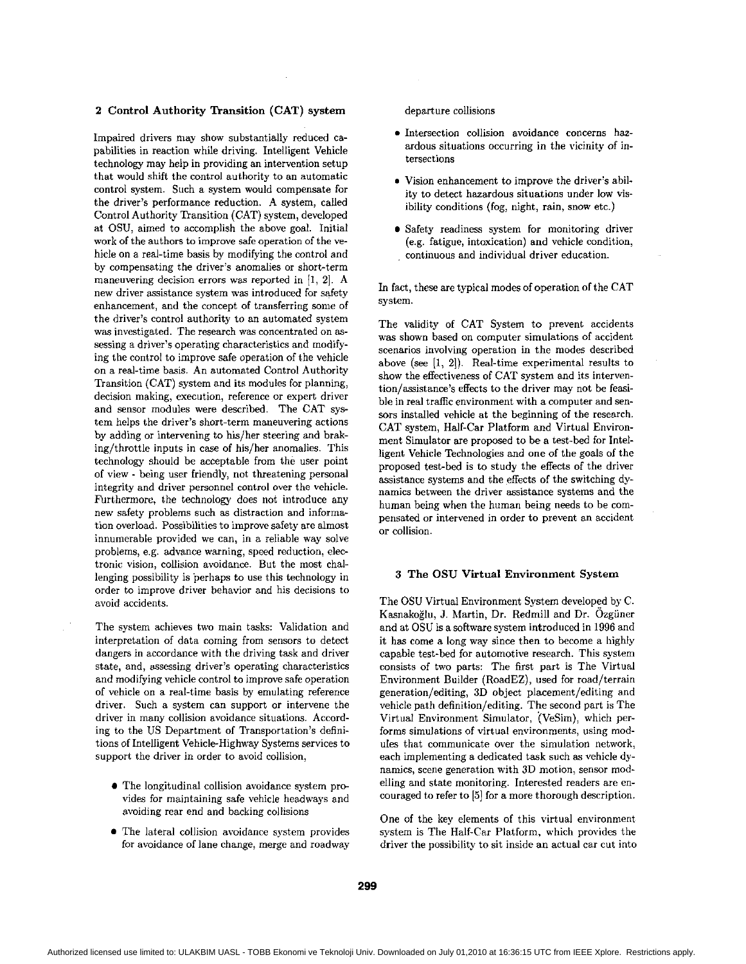# 2 Control Authority Transition (CAT) system

Impaired drivers may show substantially reduced capabilities in reaction while driving. Intelligent Vehicle technology may help in providing an intervention setup that would shift the control authority to an automatic control system. Such a system would compensate for the driver's performance reduction. A system, called Control Authority Transition (CAT) system, developed at OSU, aimed to accomplish the above goal. Initial work of the authors to improve safe operation of the vehicle on a real-time basis by modifying the control and by compensating the driver's anomalies or short-term maneuvering decision errors was reported in [I, **21.** A new driver assistance system **was** introduced for safety enhancement, and the concept of transferring some of the driver's control authority to an automated system was investigated. The research was concentrated on **as**sessing a driver's operating characteristics and modifying the control to improve safe operation of the vehicle on a real-time basis. An automated Control Authority Transition (CAT) system and its modules for planning, decision making, execution, reference or expert driver and Sensor modules were described. The CAT system helps the driver's short-term maneuvering actions by adding or intervening to his/her steering and braking/throttle inputs in case of his/her anomalies. This technology should be acceptable from the user point of view - being user friendly, not threatening personal integrity and driver personnel control over the vehicle. Furthermore, the technology does not introduce any new safety problems such as distraction and information overload. Possibilities to improve safety are almost innumerable provided we can, in a reliable way solve problems, e.g. advance waning, speed reduction, electronic vision, collision avoidance. But the most challenging possibility is perhaps to use this technology in order to improve driver behavior and his decisions to avoid accidents.

The system achieves two main tasks: Validation and interpretation of data coming from sensors to detect dangers in accordance with the driving task and driver state, and, assessing driver's operating characteristics and modifying vehicle control to improve safe operation of vehicle on a real-time basis by emulating reference driver. Such a system can support or intervene the driver in many collision avoidance situations. According to the US Department of Transportation's definitions of Intelligent Vehicle-Highway Systems services to support the driver in order to avoid collision,

- $\bullet$  The longitudinal collision avoidance system provides for maintaining safe vehicle headways and avoiding rear end and backing collisions
- $\bullet$  The lateral collision avoidance system provides for avoidance of lane change, merge and roadway

## departure collisions

- *0* Intersection collision avoidance concerns hazardous situations occurring in the vicinity of intersections
- **e** Vision enhancement to improve the driver's ability to detect hazardous situations under low visibility conditions (fog, night, rain, snow etc.)
- Safety readiness system for monitoring driver **(e.g.** fatigue, intoxication) and vehicle condition, continuous and individual driver education.

In fact, these are typical modes of operation of the CAT system.

The validity of CAT System to prevent accidents was shown based on computer simulations of accident scenarios involving operation in the modes described above (see [l, **21).** Real-time experimental results to show the effectiveness of CAT system and its intervention/assistance's effects to the driver may not be feasible in real traffic environment with a computer and sensors installed vehicle at the beginning of the research. CAT system, Half-Car Platform and Virtual Environment Simulator are proposed to be a test-bed for Intelligent Vehicle Technologies and one of the goals of the proposed test-bed is to study the effects of the driver assistance systems and the effects of the switching dynamics between the driver assistance systems and the human being when the human being needs to be compensated or intervened in order to prevent an accident or collision.

### **3** The OSU Virtual Environment System

The OSU Virtual Environment System developed by *C.*  Kasnakoglu, **J.** Martin, Dr. Redmill and Dr. Ozguner and at OSU is a software system introduced in 1996 and it has come a long way since then to become a highly capable test-bed for automotive research. This system consists of two parts: The first part is The Virtual Environment Builder (RoadEZ), used for road/terrain generation/editing, 3D object placement/editing and vehicle path definition/editing. The second part is The Virtual Environment Simulator, (VeSim), which performs simulations of virtual environments, using modules that communicate over the simulation network, each implementing a dedicated task such as vehicle dynamics, scene generation with **3D** motion, sensor modelling and state monitoring. Interested readers are encouraged to refer to *[5]* for a more thorough description.

One of the **key** elements of this virtual environment system **is** The Half-Car Platform, which provides the driver the possibility to sit inside an actual car cut into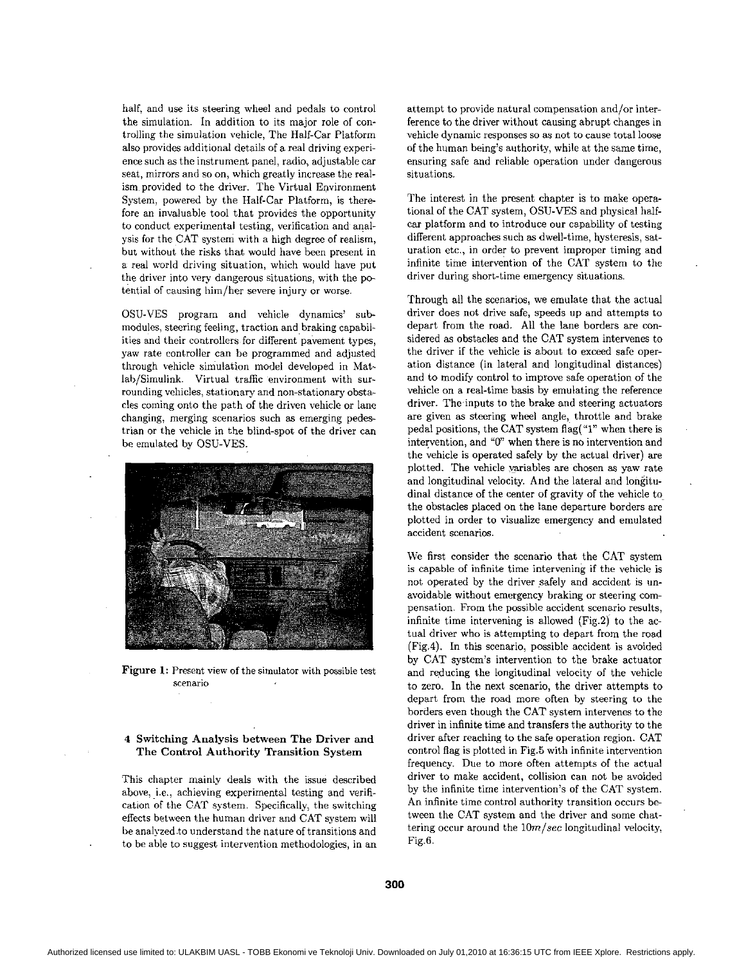half, and use its steering wheel and pedals to control the simulation. In addition to its major role of controlling the simulation vehicle, The Half-Car Platform also provides additional details of a real driving experience such as the instrument panel, radio, adjustable car seat, mirrors and so on, which greatly increase the realism. provided to the driver. The Virtual Environment System, powered by the Half-Car Platform, is therefore an invaluable tool that provides the opportunity to conduct experimental testing, verification and analysis for the CAT system with a high degree of realism, hut without the risks that would have been present in a real world driving situation, which would have put the driver into very dangerous situations, with the potential of causing bim/her severe injury or worse.

OSU-VES program and vehicle dynamics' submodules, steering feeling, traction and braking capabilities and their controllers for different pavement types, yaw rate controller can be programmed and adjusted through vehicle simulation model developed in Matlab/Simulink. Virtual traffic environment with surrounding vehicles, stationary and non-stationary obstacles coming onto the path of the driven vehicle or lane changing, merging scenarios such **as** emerging pedestrian or the vehicle in the blind-spot of the driver can be emulated by OSU-VES.



Figure **1:** Present view **of** the simulator with possible test scenario

# **4** Switching Analysis between The Driver and The Control Authority Transition System

This chapter mainly deals with the issue described above, i.e., achieving experimental testing and verification of the CAT system. Specifically, the switching effects between the human driver and CAT system will be analyzed to understand the nature of transitions and to be able to suggest intervention methodologies, in an attempt to provide natural compensation and/or interference to the driver without causing abrupt changes in vehicle dynamic responses so **as** not to cause total loose of the human being's authority, while at the same time, ensuring safe and reliable operation under dangerous situations.

The interest in the present chapter is to make operational of the CAT system, OSU-VES and physical halfcar platform and to introduce our capability of testing different approaches such as dwell-time, hysteresis, saturation etc., in order to prevent improper timing and infinite time intervention of the CAT system to the driver during short-time emergency situations.

Through all the scenarios, we emulate that the actual driver does not drive safe, speeds up and attempts to depart from the road. All the lane borders are considered **as** obstacles and the CAT system intervenes to the driver if the vehicle is about to exceed safe operation distance (in lateral and longitudinal distances) and to modify control to improve safe operation of the vehicle on a real-time basis by emulating the reference driver. The inputs to the brake and steering actuators are given as steering wheel angle, throttle and brake pedal positions, the CAT system flag( **"1"** when there is intervention, and "0" when there is no intervention and the vehicle is operated safely by the actual driver) are plotted. The vehicle variables are chosen as yaw rate and longitudinal velocity. And the lateral and longitudinal distance of the center of gravity of the vehicle to^ the obstacles placed on the lane departure borders are plotted in order to visualize emergency and emulated accident scenarios.

We first consider the scenario that the CAT system is capable of infinite time intervening if the vehicle is not operated by the driver safely and accident is unavoidable without emergency braking or steering compensation. From the possible accident scenario results, infinite time intervening is allowed (Fig.2) to the actual driver who is attempting to depart from the road (Fig.4). In this scenario, possible accident is avoided by CAT system's intervention to the brake actuator and reducing the longitudinal velocity of the vehicle to zero. In the next scenario, the driver attempts to depart from the road more often by steering to the borders even though the CAT system intervenes to the driver in infinite time and transfers the authority to the driver after reaching to the safe operation region. CAT control flag is plotted in Fig.5 with infinite intervention frequency. Due to more often attempts of the actual driver to make accident, collision can not be avoided by the infinite time intervention's of the CAT system. An infinite time control authority transition occurs be tween the CAT system and the driver and some chattering occur around the  $10m/sec$  longitudinal velocity, Fig.6.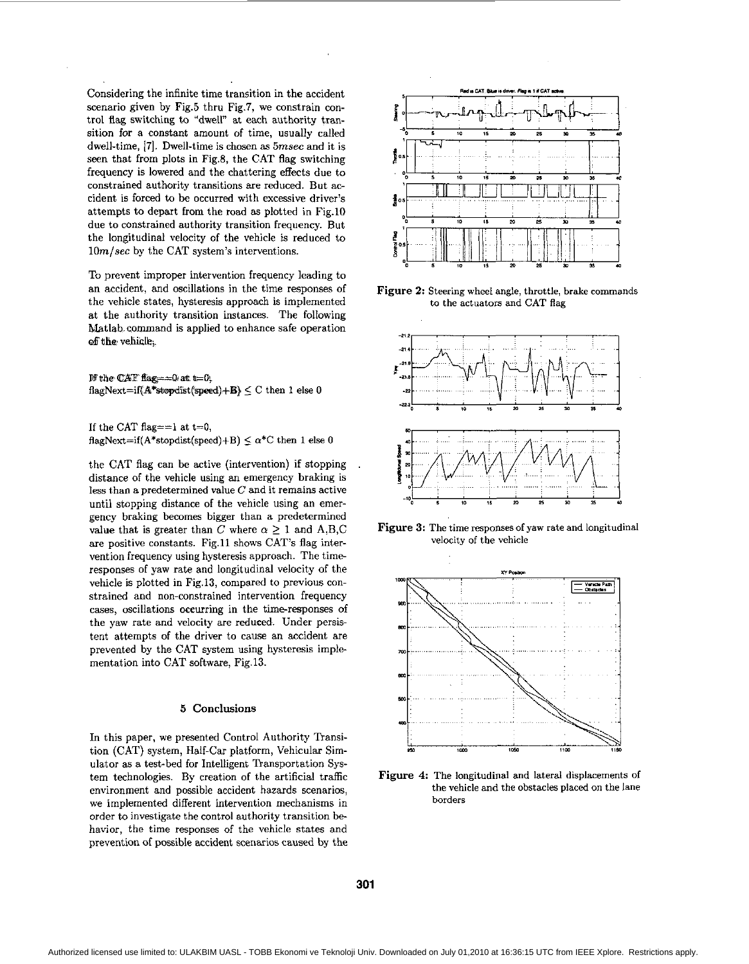Considering the infinite time transition in the accident scenario given hy Fig.5 thru Fig.7, we constrain control *flag* switching to "dwell" at each authority transition for a constant amount of time, usually called dwell-time, **171.** Dwell-time is chosen **as** *5msec* and it is **seen** that from plots in Fig.8, the CAT flag switching frequency is lowered and the chattering effects due to constrained authority transitions are reduced. But accident is forced to he occurred with excessive driver's attempts to depart from the road as plotted in Fig.10 due to constrained authority transition frequency. But the longitudinal velocity of the vehicle is reduced to  $10m/sec$  by the CAT system's interventions.

To prevent improper intervention frequency leading to an accident, and oscillations in the time responses of the vehicle states, hysteresis approach is implemented at the authority transition instances. The following blatlah.command is applied to enhance safe operation of the vehicle;

If the CAT flag--0 at t=0, flagNext=if(A\*stopdist(speed)+B)  $\leq$  C then 1 else 0

If the CAT flag==1 at  $t=0$ ,  $\text{flagNext}=\text{if}(A^*\text{stopdist}(\text{speed})+B) \leq \alpha^*C \text{ then } 1 \text{ else } 0$ 

the CAT flag can be active (intervention) if stopping distance of the vehicle using an emergency braking is less than **a** predetermined value *C* and it remains active until stopping distance of the vehicle using an emergency braking becomes bigger than a predetermined value that is greater than C where  $\alpha \geq 1$  and A,B,C are positive constants. Fig.11 shows CAT's flag intervention frequency using hysteresis approach. The timeresponses of yaw rate and longitudinal velocity of the vehicle is plotted in Fig.13, compared to previous constrained and non-constrained intervention frequency cases, oscillations occurring in the timeresponses of the yaw rate and velocity are reduced. Under persis tent attempts of the driver to cause an accident are prevented hy the CAT system using hysteresis implementation into CAT software, Fig.13.

## *5* Conclusions

In this paper, **we** presented Control Authority Transition (CAT) system, Half-Car platform, Vehicular Simulator as a test-bed for Intelligent Transportation System technologies. By creation of the artificial traffic environment and possible accident hazards scenarios, we implemented different intervention mechanisms in order to investigate the control authority transition behavior, the time responses of the vehicle states and prevention of possible accident scenarios caused by the



**Figure 2:** Steering wheel angle, throttle, brake commands to the actuators and CAT flag



**Figure 3:** The time responses of yaw rate and longitudinal velocity of the vehicle



**Figure 4:** The longitudinal and lateral displacements of the vehicle and the obstacles placed **on** the lane borders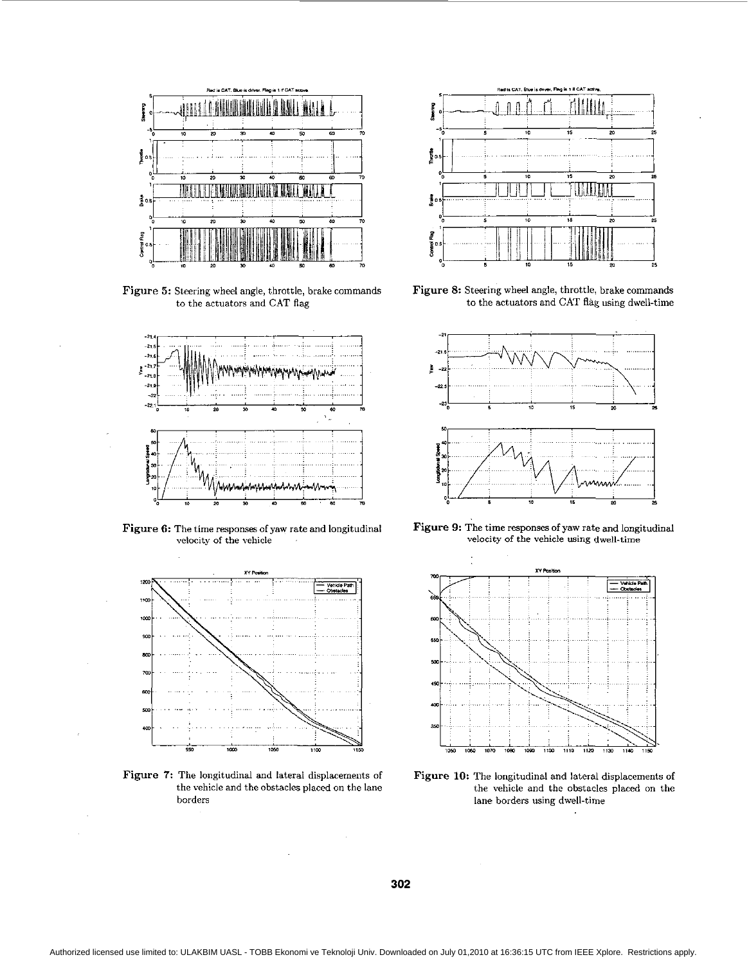

**Figure 5:** Steering wheel angle, throttle, brake commands *to* the actuators and CAT flag



**Figure 6:** The time responses of yaw rate and longitudinal velocity of the vehicle



**Figure 7:** The longitudinal and lateral displacements of the vehicle and the obstacles placed on the lane borders



**Figure** *8:* Steering wheel angle, throttle, brake commands to the actuators and **CAT** flag using dwell-time



**Figure 9:** The time responses of yaw rate and longitudinal velocity of the vehicle using dwell-time



**Figure 10:** The longitudinal and lateral displacements of the vehicle and the obstacles placed on the lane borders using dwell-time